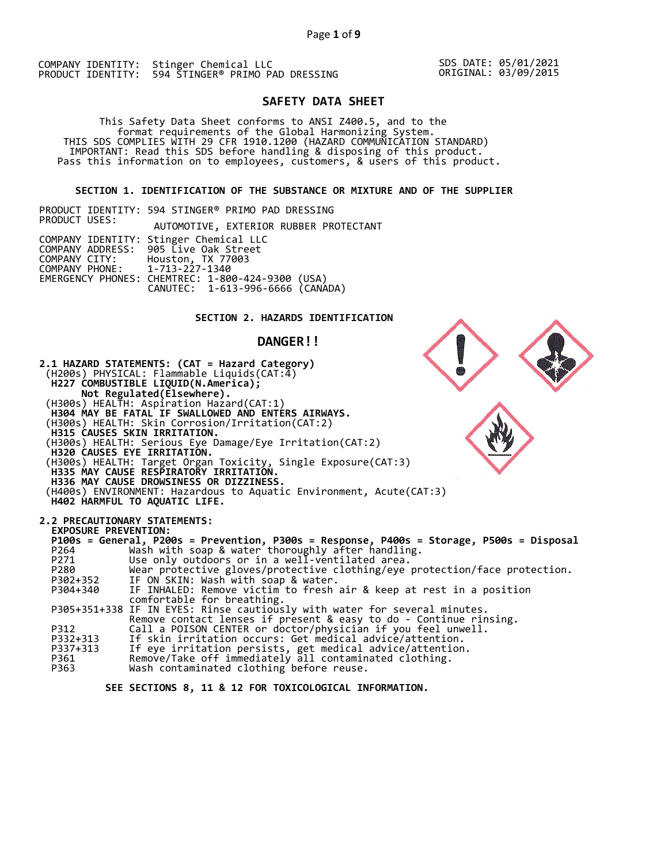SDS DATE: 05/01/2021 ORIGINAL: 03/09/2015

# **SAFETY DATA SHEET**

This Safety Data Sheet conforms to ANSI Z400.5, and to the<br>format requirements of the Global Harmonizing System.<br>THIS SDS COMPLIES WITH 29 CFR 1910.1200 (HAZARD COMMUNICATION STANDARD)<br>IMPORTANT: Read this SDS before handl

#### **SECTION 1. IDENTIFICATION OF THE SUBSTANCE OR MIXTURE AND OF THE SUPPLIER**

PRODUCT IDENTITY: 594 STINGER® PRIMO PAD DRESSING PRODUCT USES: AUTOMOTIVE, EXTERIOR RUBBER PROTECTANT COMPANY IDENTITY: Stinger Chemical LLC COMPANY ADDRESS: 905 Live Oak Street COMPANY CITY: Houston, TX 77003 COMPANY PHONE: 1-713-227-1340 EMERGENCY PHONES: CHEMTREC: 1-800-424-9300 (USA) CANUTEC: 1-613-996-6666 (CANADA)

# **SECTION 2. HAZARDS IDENTIFICATION**

#### **DANGER!!**



 **SEE SECTIONS 8, 11 & 12 FOR TOXICOLOGICAL INFORMATION.**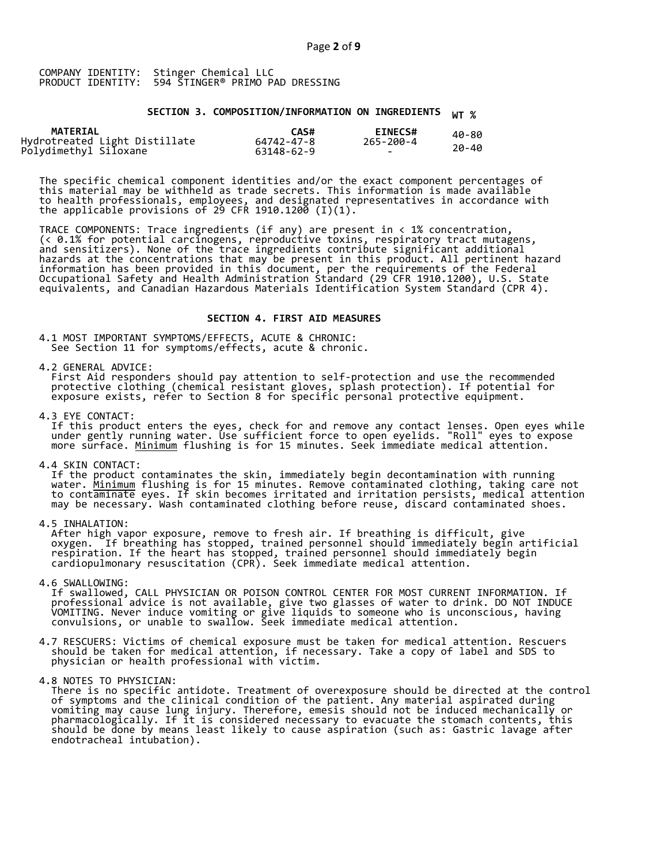# **SECTION 3. COMPOSITION/INFORMATION ON INGREDIENTS WT %**

| <b>MATERIAL</b>                                        | CAS#       | <b>EINECS#</b> | 40-80 |
|--------------------------------------------------------|------------|----------------|-------|
| Hydrotreated Light Distillate<br>Polydimethyl Siloxane | 64742-47-8 | 265-200-4      |       |
|                                                        | 63148-62-9 | -              | 20-40 |

The specific chemical component identities and/or the exact component percentages of this material may be withheld as trade secrets. This information is made available to health professionals, employees, and designated representatives in accordance with the applicable provisions of 29 CFR 1910.1200  $(1)(1).$ 

TRACE COMPONENTS: Trace ingredients (if any) are present in < 1% concentration, (< 0.1% for potential carcinogens, reproductive toxins, respiratory tract mutagens, and sensitizers). None of the trace ingredients contribute significant additional hazards at the concentrations that may be present in this product. All pertinent hazard information has been provided in this document, per the requirements of the Federal Occupational Safety and Health Administration Standard (29 CFR 1910.1200), U.S. State equivalents, and Canadian Hazardous Materials Identification System Standard (CPR 4).

#### **SECTION 4. FIRST AID MEASURES**

4.1 MOST IMPORTANT SYMPTOMS/EFFECTS, ACUTE & CHRONIC: See Section 11 for symptoms/effects, acute & chronic.

4.2 GENERAL ADVICE:<br>First Aid responders should pay attention to self-protection and use the recommended protective clothing (chemical resistant gloves, splash protection). If potential for<br>exposure exists, refer to Section 8 for specific personal protective equipment.

4.3 EYE CONTACT:<br>If this product enters the eyes, check for and remove any contact lenses. Open eyes while<br>under gently running water. Use sufficient force to open eyelids. "Roll" eyes to expose<br>more surface. <u>Minimum</u> flu

4.4 SKIN CONTACT:<br>If the product contaminates the skin, immediately begin decontamination with running<br>water. <u>Minimum</u> flushing is for 15 minutes. Remove contaminated clothing, taking care not<br>to contaminate eyes. If skin

4.5 INHALATION:<br>After high vapor exposure, remove to fresh air. If breathing is difficult, give<br>oxygen. If breathing has stopped, trained personnel should immediately begin artificial<br>respiration. If the heart has stopped,

4.6 SWALLOWING:<br>If swallowed, CALL PHYSICIAN OR POISON CONTROL CENTER FOR MOST CURRENT INFORMATION. If<br>professional advice is not available, give two glasses of water to drink. DO NOT INDUCE<br>VOMITING. Never induce vomiting

4.7 RESCUERS: Victims of chemical exposure must be taken for medical attention. Rescuers should be taken for medical attention, if necessary. Take a copy of label and SDS to physician or health professional with victim.

4.8 NOTES TO PHYSICIAN:<br>There is no specific antidote. Treatment of overexposure should be directed at the control<br>of symptoms and the clinical condition of the patient. Any material aspirated during<br>vomiting may cause lun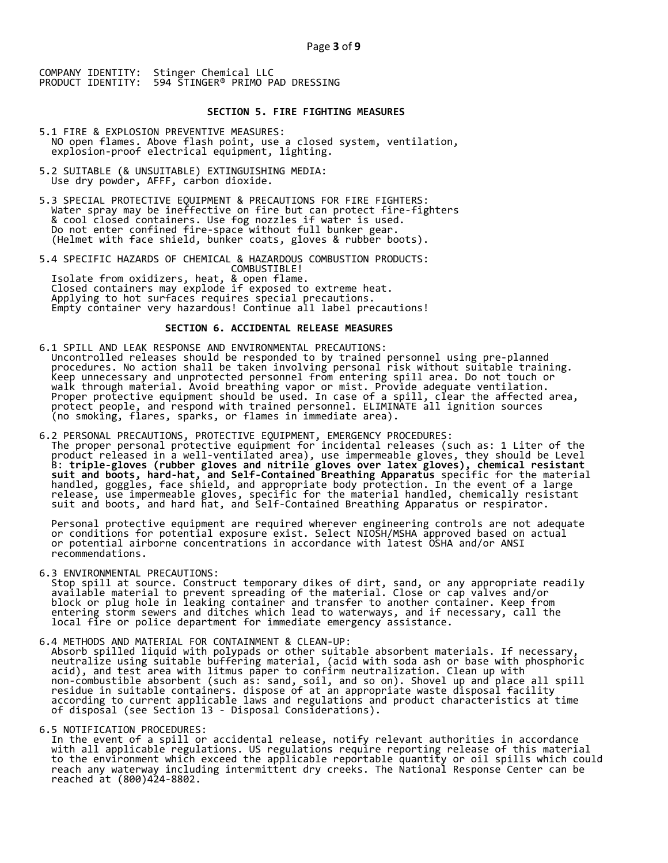### **SECTION 5. FIRE FIGHTING MEASURES**

- 5.1 FIRE & EXPLOSION PREVENTIVE MEASURES: NO open flames. Above flash point, use a closed system, ventilation, explosion-proof electrical equipment, lighting.
- 5.2 SUITABLE (& UNSUITABLE) EXTINGUISHING MEDIA: Use dry powder, AFFF, carbon dioxide.
- 5.3 SPECIAL PROTECTIVE EQUIPMENT & PRECAUTIONS FOR FIRE FIGHTERS:<br>Water spray may be ineffective on fire but can protect fire-fighters<br>& cool closed containers. Use fog nozzles if water is used.<br>Do not enter confined fire-

5.4 SPECIFIC HAZARDS OF CHEMICAL & HAZARDOUS COMBUSTION PRODUCTS:<br>
COMBUSTIBLE!<br>
Isolate from oxidizers, heat, & open flame.<br>
Closed containers may explode if exposed to extreme heat.<br>
Applying to hot surfaces requires spe

## **SECTION 6. ACCIDENTAL RELEASE MEASURES**

- 6.1 SPILL AND LEAK RESPONSE AND ENVIRONMENTAL PRECAUTIONS:<br>Uncontrolled releases should be responded to by trained personnel using pre-planned<br>procedures. No action shall be taken involving personal risk without suitable t
- 6.2 PERSONAL PRECAUTIONS, PROTECTIVE EQUIPMENT, EMERGENCY PROCEDURES:<br>The proper personal protective equipment for incidental releases (such as: 1 Liter of the<br>product released in a well-ventilated area), use impermeable g

Personal protective equipment are required wherever engineering controls are not adequate<br>or conditions for potential exposure exist. Select NIOSH/MSHA approved based on actual<br>or potential airborne concentrations in accor

6.3 ENVIRONMENTAL PRECAUTIONS:<br>Stop spill at source. Construct temporary dikes of dirt, sand, or any appropriate readily<br>available material to prevent spreading of the material. Close or cap valves and/or<br>block or plug hol

6.4 METHODS AND MATERIAL FOR CONTAINMENT & CLEAN-UP:<br>Absorb spilled liquid with polypads or other suitable absorbent materials. If necessary,<br>neutralize using suitable buffering material, (acid with soda ash or base with p

6.5 NOTIFICATION PROCEDURES:<br>In the event of a spill or accidental release, notify relevant authorities in accordance with all applicable regulations. US regulations require reporting release of this material<br>to the environment which exceed the applicable reportable quantity or oil spills which could<br>reach any waterway including intermitt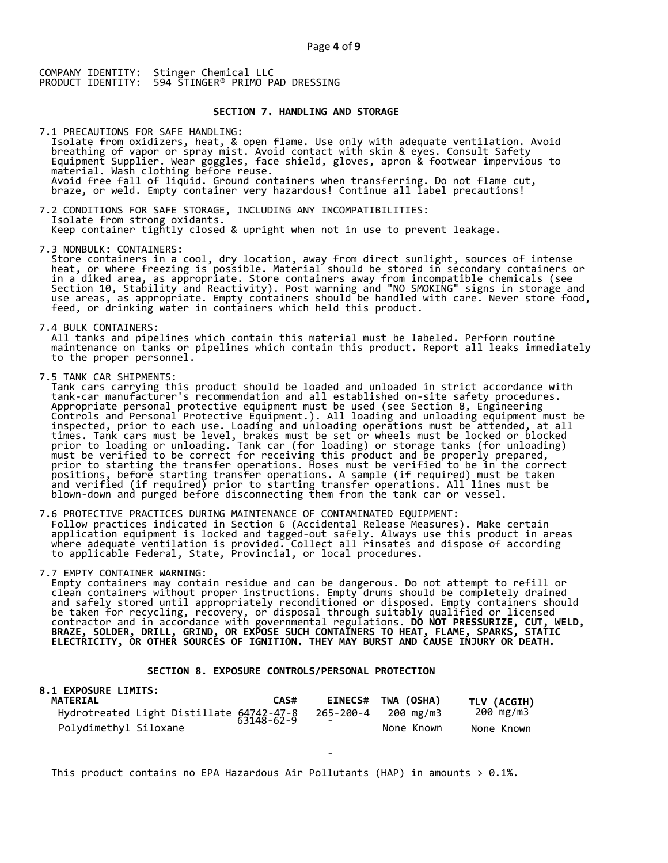#### **SECTION 7. HANDLING AND STORAGE**

7.1 PRECAUTIONS FOR SAFE HANDLING: Isolate from oxidizers, heat, & open flame. Use only with adequate ventilation. Avoid breathing of vapor or spray mist. Avoid contact with skin & eyes. Consult Safety Equipment Supplier. Wear goggles, face shield, gloves, apron & footwear impervious to material. Wash clothing before reuse.<br>Avoid free fall of liquid. Ground containers when transferring. Do not flame cut,<br>braze, or weld. Empty container very hazardous! Continue all label precautions!

7.2 CONDITIONS FOR SAFE STORAGE, INCLUDING ANY INCOMPATIBILITIES:<br>Isolate from strong oxidants.<br>Keep container tightly closed & upright when not in use to prevent leakage.

7.3 NONBULK: CONTAINERS:<br>Store containers in a cool, dry location, away from direct sunlight, sources of intense<br>heat, or where freezing is possible. Material should be stored in secondary containers or in a diked area, as appropriate. Store containers away from incompatible chemicals (see<br>Section 10, Stability and Reactivity). Post warning and "NO SMOKING" signs in storage and<br>use areas, as appropriate. Empty containers

7.4 BULK CONTAINERS:<br>All tanks and pipelines which contain this material must be labeled. Perform routine<br>maintenance on tanks or pipelines which contain this product. Report all leaks immediately<br>to the proper personnel.

7.5 TANK CAR SHIPMENTS:<br>Tank cars carrying this product should be loaded and unloaded in strict accordance with Tank cars carrying this product should be loaded and unloaded in strict accordance with<br>tank-car manufacturer's recommendation and all established on-site safety procedures.<br>Appropriate personal protective equipment must b Controls and Personal Protective Equipment.). All loading and unloading equipment must be<br>inspected, prior to each use. Loading and unloading operations must be attended, at all<br>times. Tank cars must be level, brakes must

7.6 PROTECTIVE PRACTICES DURING MAINTENANCE OF CONTAMINATED EQUIPMENT:<br>Follow practices indicated in Section 6 (Accidental Release Measures). Make certain<br>application equipment is locked and tagged-out safely. Always use t

7.7 EMPTY CONTAINER WARNING:<br>Empty containers may contain residue and can be dangerous. Do not attempt to refill or Empty containers may contain residue and can be uangerous. Bo not attempt to retrili or<br>clean containers without proper instructions. Empty drums should be completely drained<br>and safely stored until appropriately reconditi

-

## **SECTION 8. EXPOSURE CONTROLS/PERSONAL PROTECTION**

| <b>8.1 EXPOSURE LIMITS:</b>                            |      |                |            |             |
|--------------------------------------------------------|------|----------------|------------|-------------|
| <b>MATERIAL</b>                                        | CAS# | <b>EINECS#</b> | TWA (OSHA) | TLV (ACGIH) |
| Hydrotreated Light Distillate 64742-47-8<br>63148-62-9 |      | 265-200-4      | 200 mg/m3  | 200 mg/m3   |
| Polydimethyl Siloxane                                  |      | -              | None Known | None Known  |

This product contains no EPA Hazardous Air Pollutants (HAP) in amounts  $> 0.1\%$ .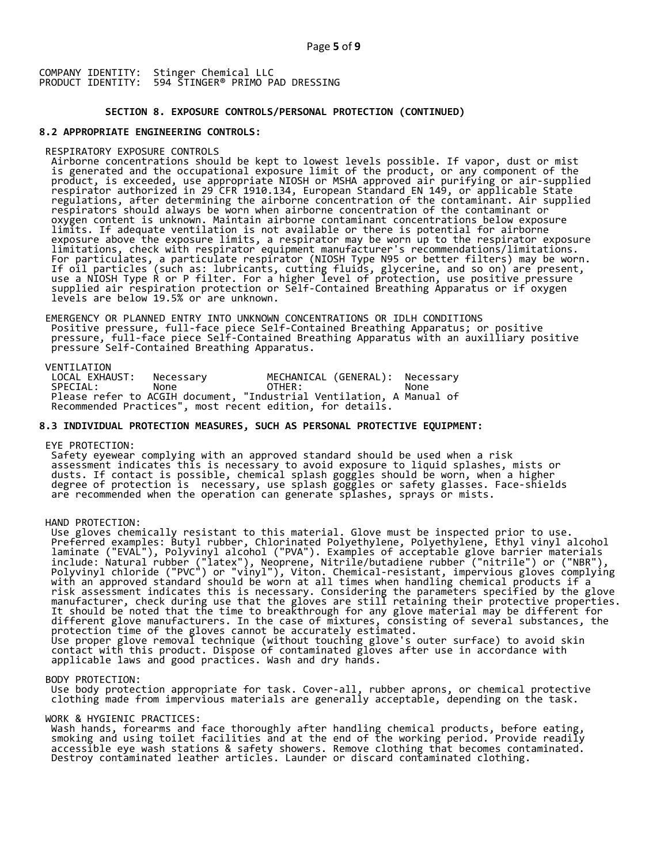#### **SECTION 8. EXPOSURE CONTROLS/PERSONAL PROTECTION (CONTINUED)**

### **8.2 APPROPRIATE ENGINEERING CONTROLS:**

RESPIRATORY EXPOSURE CONTROLS<br>Airborne concentrations should be kept to lowest levels possible. If vapor, dust or mist<br>is generated and the occupational exposure limit of the product, or any component of the<br>product, is ex respirator authorized in 29 CFR 1910.134, European Standard EN 149, or applicable State<br>regulations, after determining the airborne concentration of the contaminant. Air supplied<br>respirators should always be worn when airb

EMERGENCY OR PLANNED ENTRY INTO UNKNOWN CONCENTRATIONS OR IDLH CONDITIONS<br>Positive pressure, full-face piece Self-Contained Breathing Apparatus; or positive<br>pressure, full-face piece Self-Contained Breathing Apparatus with

VENTILATION<br>LOCAL EXHAUST: LOCAL EXHAUST: Necessary MECHANICAL (GENERAL): Necessary SPECIAL: None OTHER: None Please refer to ACGIH document, "Industrial Ventilation, A Manual of Recommended Practices", most recent edition, for details.

## **8.3 INDIVIDUAL PROTECTION MEASURES, SUCH AS PERSONAL PROTECTIVE EQUIPMENT:**

EYE PROTECTION:<br>Safety eyewear complying with an approved standard should be used when a risk Safety eyewear complying with an approved standard should be used when a risk<br>assessment indicates this is necessary to avoid exposure to liquid splashes, mists or<br>dusts. If contact is possible, chemical splash goggles sho are recommended when the operation can generate splashes, sprays or mists.

#### HAND PROTECTION:

Use gloves chemically resistant to this material. Glove must be inspected prior to use.<br>Preferred examples: Butyl rubber, Chlorinated Polyethylene, Polyethylene, Ethyl vinyl alcohol<br>laminate ("EVAL"), Polyvinyl alcohol ("P risk assessment indicates this is necessary. Considering the parameters specified by the glove<br>manufacturer, check during use that the gloves are still retaining their protective properties.<br>It should be noted that the tim

#### BODY PROTECTION:

Use body protection appropriate for task. Cover-all, rubber aprons, or chemical protective<br>clothing made from impervious materials are generally acceptable, depending on the task.

#### WORK & HYGIENIC PRACTICES:

Work & HIGLENIC PRACTICES.<br>Wash hands, forearms and face thoroughly after handling chemical products, before eating,<br>smoking and using toilet facilities and at the end of the working period. Provide readily<br>accessible eye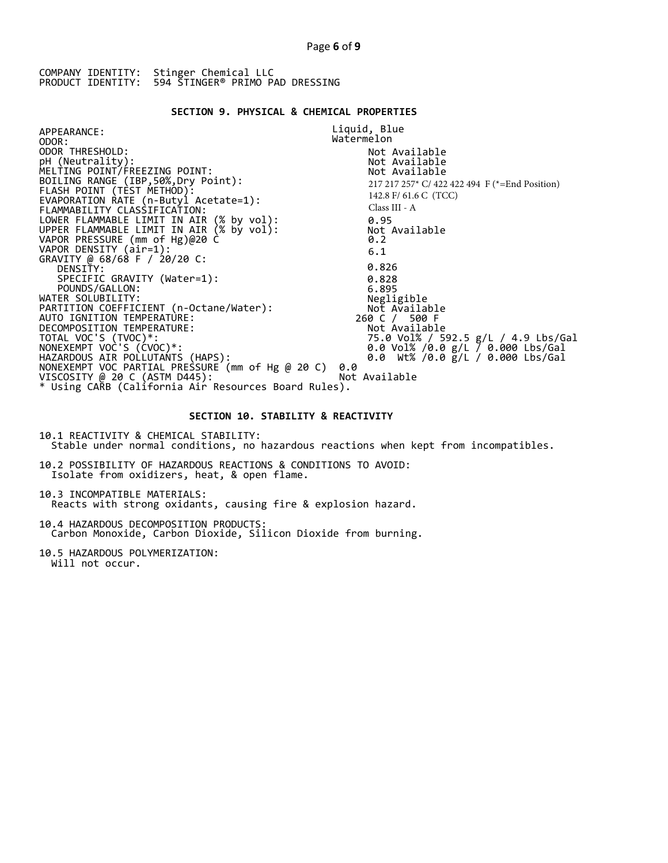#### **SECTION 9. PHYSICAL & CHEMICAL PROPERTIES**

APPEARANCE: ODOR: ODOR THRESHOLD: pH (Neutrality): MELTING POINT/FREEZING POINT: BOILING RANGE (IBP,50%,Dry Point): FLASH POINT (TEST METHOD): EVAPORATION RATE (n-Butyl Acetate=1): FLAMMABILITY CLASSIFICATION: LOWER FLAMMABLE LIMIT IN AIR (% by vol): UPPER FLAMMABLE LIMIT IN AIR (% by vol): VAPOR PRESSURE (mm of Hg)@20 C VAPOR DENSITY (air=1): GRAVITY @ 68/68 F / 20/20 C: DENSIŤY:<br>SPECIFIC GRAVITY (Water=1):<br>POUNDS/GALLON: WATER SOLUBILITY: PARTITION COEFFICIENT (n-Octane/Water): AUTO IGNITION TEMPERATURE: DECOMPOSITION TEMPERATURE: TOTAL VOC'S (TVOC)\*: NONEXEMPT VOC'S (CVOC)\*: HAZARDOUS AIR POLLUTANTS (HAPS): Liquid, Blue Watermelon Not Available Not Available Not Available 0.95 Not Available 0.2 6.1 0.826 0.828 6.895 Negligible Not Available 260 C / 500 F Not Available 75.0 Vol% / 592.5 g/L / 4.9 Lbs/Gal 0.0 Vol% /0.0 g/L / 0.000 Lbs/Gal 0.0 Wt% /0.0 g/L / 0.000 Lbs/Gal NONEXEMPT VOC PARTIAL PRESSURE (mm of Hg @ 20 C) 0.0 VISCOSITY @ 20 C (ASTM D445): Not Available \* Using CARB (California Air Resources Board Rules). 217 217 257\* C/ 422 422 494 F (\*=End Position) 142.8 F/ 61.6 C (TCC) Class III - A

#### **SECTION 10. STABILITY & REACTIVITY**

10.1 REACTIVITY & CHEMICAL STABILITY: Stable under normal conditions, no hazardous reactions when kept from incompatibles.

10.2 POSSIBILITY OF HAZARDOUS REACTIONS & CONDITIONS TO AVOID: Isolate from oxidizers, heat, & open flame.

10.3 INCOMPATIBLE MATERIALS: Reacts with strong oxidants, causing fire & explosion hazard.

10.4 HAZARDOUS DECOMPOSITION PRODUCTS: Carbon Monoxide, Carbon Dioxide, Silicon Dioxide from burning.

10.5 HAZARDOUS POLYMERIZATION: Will not occur.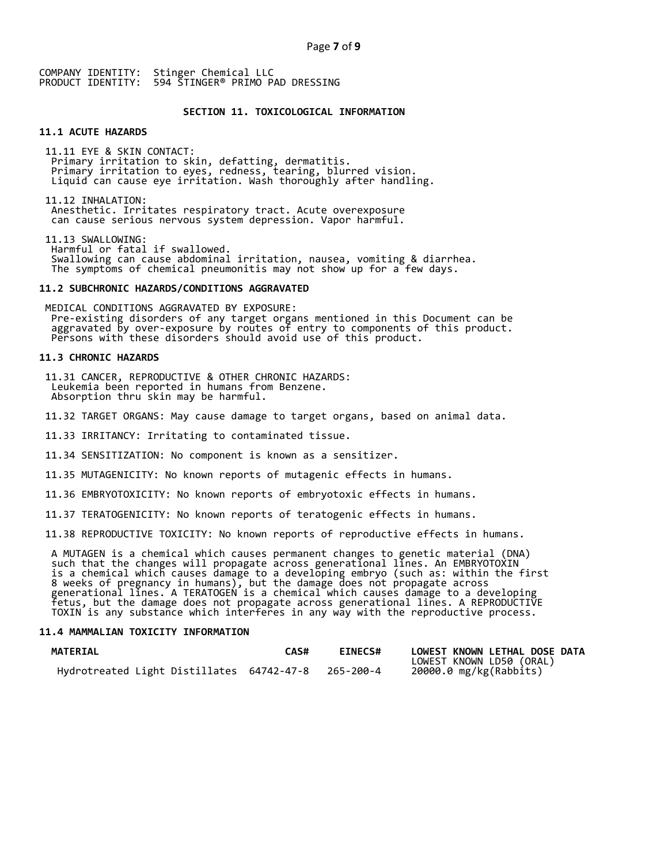#### **SECTION 11. TOXICOLOGICAL INFORMATION**

# **11.1 ACUTE HAZARDS**

11.11 EYE & SKIN CONTACT: Primary irritation to skin, defatting, dermatitis.<br>Primary irritation to eyes, redness, tearing, blurred vision.<br>Liquid can cause eye irritation. Wash thoroughly after handling.

11.12 INHALATION: Anesthetic. Irritates respiratory tract. Acute overexposure can cause serious nervous system depression. Vapor harmful.

11.13 SWALLOWING: Swallowing can cause abdominal irritation, nausea, vomiting & diarrhea.<br>The symptoms of chemical pneumonitis may not show up for a few days.

#### **11.2 SUBCHRONIC HAZARDS/CONDITIONS AGGRAVATED**

MEDICAL CONDITIONS AGGRAVATED BY EXPOSURE: Pre-existing disorders of any target organs mentioned in this Document can be aggravated by over-exposure by routes of entry to components of this product. Persons with these disorders should avoid use of this product.

#### **11.3 CHRONIC HAZARDS**

11.31 CANCER, REPRODUCTIVE & OTHER CHRONIC HAZARDS: Leukemia been reported in humans from Benzene. Absorption thru skin may be harmful.

11.32 TARGET ORGANS: May cause damage to target organs, based on animal data.

11.33 IRRITANCY: Irritating to contaminated tissue.

11.34 SENSITIZATION: No component is known as a sensitizer.

11.35 MUTAGENICITY: No known reports of mutagenic effects in humans.

11.36 EMBRYOTOXICITY: No known reports of embryotoxic effects in humans.

11.37 TERATOGENICITY: No known reports of teratogenic effects in humans.

11.38 REPRODUCTIVE TOXICITY: No known reports of reproductive effects in humans.

A MUTAGEN is a chemical which causes permanent changes to genetic material (DNA)<br>such that the changes will propagate across generational lines. An EMBRYOTOXIN<br>is a chemical which causes damage to a developing embryo (such

#### **11.4 MAMMALIAN TOXICITY INFORMATION**

| <b>MATERIAL</b>                                     | <b>CAS#</b> | <b>EINECS#</b> | LOWEST KNOWN LETHAL DOSE DATA |
|-----------------------------------------------------|-------------|----------------|-------------------------------|
|                                                     |             |                | LOWEST KNOWN LD50 (ORAL)      |
| Hydrotreated Light Distillates 64742-47-8 265-200-4 |             |                | 20000.0 mg/kg(Rabbits)        |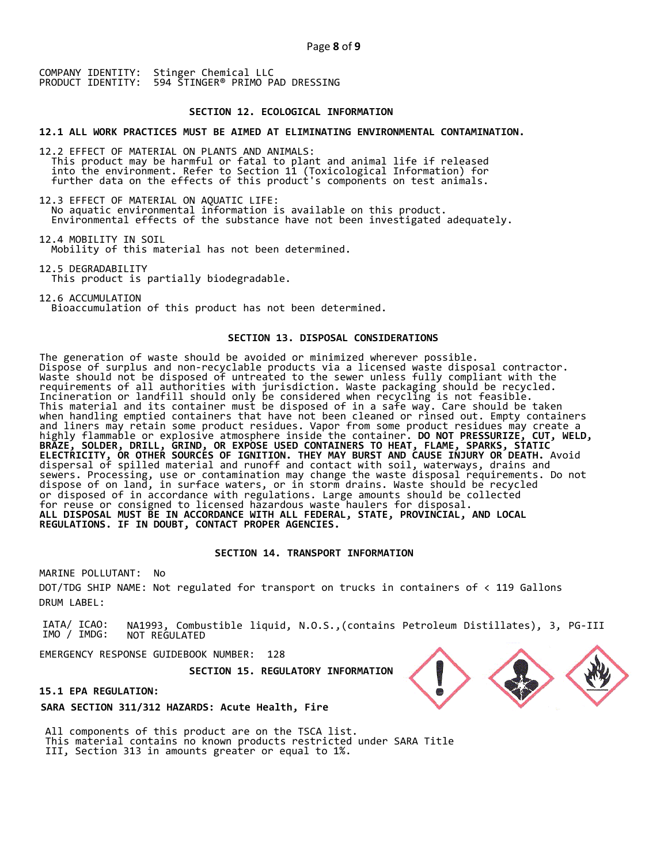#### **SECTION 12. ECOLOGICAL INFORMATION**

**12.1 ALL WORK PRACTICES MUST BE AIMED AT ELIMINATING ENVIRONMENTAL CONTAMINATION.** 

12.2 EFFECT OF MATERIAL ON PLANTS AND ANIMALS: This product may be harmful or fatal to plant and animal life if released<br>into the environment. Refer to Section 11 (Toxicological Information) for<br>further data on the effects of this product's components on test animals.

12.3 EFFECT OF MATERIAL ON AQUATIC LIFE:<br>No aquatic environmental information is available on this product. Environmental effects of the substance have not been investigated adequately.

12.4 MOBILITY IN SOIL Mobility of this material has not been determined.

12.5 DEGRADABILITY This product is partially biodegradable.

12.6 ACCUMULATION Bioaccumulation of this product has not been determined.

#### **SECTION 13. DISPOSAL CONSIDERATIONS**

The generation of waste should be avoided or minimized wherever possible. Dispose of surplus and non-recyclable products via a licensed waste disposal contractor. Waste should not be disposed of untreated to the sewer unless fully compliant with the requirements of all authorities with jurisdiction. Waste packaging should be recycled. Incineration or landfill should only be considered when recycling is not feasible. This material and its container must be disposed of in a safe way. Care should be taken when handling emptied containers that have not been cleaned or rinsed out. Empty containers and liners may retain some product residues. Vapor from some product residues may create a highly flammable or explosive atmosphere inside the container. **DO NOT PRESSURIZE, CUT, WELD, BRAZE, SOLDER, DRILL, GRIND, OR EXPOSE USED CONTAINERS TO HEAT, FLAME, SPARKS, STATIC ELECTRICITY, OR OTHER SOURCES OF IGNITION. THEY MAY BURST AND CAUSE INJURY OR DEATH.** Avoid dispersal of spilled material and runoff and contact with soil, waterways, drains and sewers. Processing, use or contamination may change the waste disposal requirements. Do not dispose of on land, in surface waters, or in storm drains. Waste should be recycled or disposed of in accordance with regulations. Large amounts should be collected for reuse or consigned to licensed hazardous waste haulers for disposal. **ALL DISPOSAL MUST BE IN ACCORDANCE WITH ALL FEDERAL, STATE, PROVINCIAL, AND LOCAL REGULATIONS. IF IN DOUBT, CONTACT PROPER AGENCIES.** 

#### **SECTION 14. TRANSPORT INFORMATION**

MARINE POLLUTANT: No DOT/TDG SHIP NAME: Not regulated for transport on trucks in containers of < 119 Gallons DRUM LABEL:

IATA/ ICAO: IMO / IMDG: NA1993, Combustible liquid, N.O.S.,(contains Petroleum Distillates), 3, PG-III NOT REGULATED

EMERGENCY RESPONSE GUIDEBOOK NUMBER: 128

 **SECTION 15. REGULATORY INFORMATION** 

**15.1 EPA REGULATION:** 

**SARA SECTION 311/312 HAZARDS: Acute Health, Fire** 

All components of this product are on the TSCA list. This material contains no known products restricted under SARA Title III, Section 313 in amounts greater or equal to 1%.